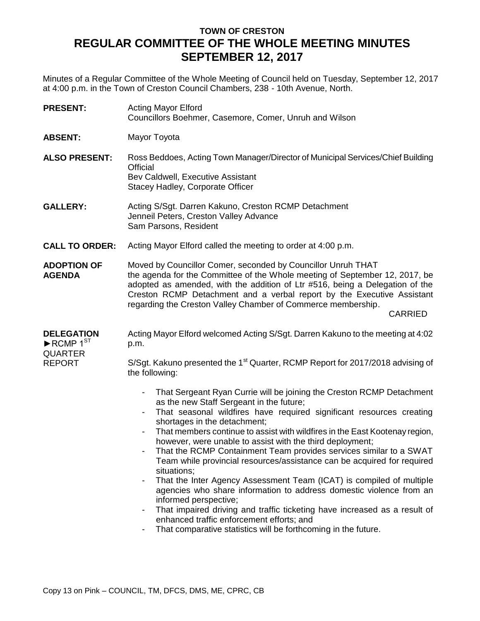## **TOWN OF CRESTON REGULAR COMMITTEE OF THE WHOLE MEETING MINUTES SEPTEMBER 12, 2017**

Minutes of a Regular Committee of the Whole Meeting of Council held on Tuesday, September 12, 2017 at 4:00 p.m. in the Town of Creston Council Chambers, 238 - 10th Avenue, North.

| <b>PRESENT:</b>                                                                                    | <b>Acting Mayor Elford</b><br>Councillors Boehmer, Casemore, Comer, Unruh and Wilson                                                                                                                                                                                                                                                                                                                                                                                                                                                                                                                                                                                                                                                                                                                                                                                                                           |
|----------------------------------------------------------------------------------------------------|----------------------------------------------------------------------------------------------------------------------------------------------------------------------------------------------------------------------------------------------------------------------------------------------------------------------------------------------------------------------------------------------------------------------------------------------------------------------------------------------------------------------------------------------------------------------------------------------------------------------------------------------------------------------------------------------------------------------------------------------------------------------------------------------------------------------------------------------------------------------------------------------------------------|
| <b>ABSENT:</b>                                                                                     | Mayor Toyota                                                                                                                                                                                                                                                                                                                                                                                                                                                                                                                                                                                                                                                                                                                                                                                                                                                                                                   |
| <b>ALSO PRESENT:</b>                                                                               | Ross Beddoes, Acting Town Manager/Director of Municipal Services/Chief Building<br>Official<br>Bev Caldwell, Executive Assistant<br>Stacey Hadley, Corporate Officer                                                                                                                                                                                                                                                                                                                                                                                                                                                                                                                                                                                                                                                                                                                                           |
| <b>GALLERY:</b>                                                                                    | Acting S/Sgt. Darren Kakuno, Creston RCMP Detachment<br>Jenneil Peters, Creston Valley Advance<br>Sam Parsons, Resident                                                                                                                                                                                                                                                                                                                                                                                                                                                                                                                                                                                                                                                                                                                                                                                        |
| <b>CALL TO ORDER:</b>                                                                              | Acting Mayor Elford called the meeting to order at 4:00 p.m.                                                                                                                                                                                                                                                                                                                                                                                                                                                                                                                                                                                                                                                                                                                                                                                                                                                   |
| <b>ADOPTION OF</b><br><b>AGENDA</b>                                                                | Moved by Councillor Comer, seconded by Councillor Unruh THAT<br>the agenda for the Committee of the Whole meeting of September 12, 2017, be<br>adopted as amended, with the addition of Ltr #516, being a Delegation of the<br>Creston RCMP Detachment and a verbal report by the Executive Assistant<br>regarding the Creston Valley Chamber of Commerce membership.<br><b>CARRIED</b>                                                                                                                                                                                                                                                                                                                                                                                                                                                                                                                        |
| <b>DELEGATION</b><br>$\blacktriangleright$ RCMP 1 <sup>ST</sup><br><b>QUARTER</b><br><b>REPORT</b> | Acting Mayor Elford welcomed Acting S/Sgt. Darren Kakuno to the meeting at 4:02<br>p.m.                                                                                                                                                                                                                                                                                                                                                                                                                                                                                                                                                                                                                                                                                                                                                                                                                        |
|                                                                                                    | S/Sgt. Kakuno presented the 1 <sup>st</sup> Quarter, RCMP Report for 2017/2018 advising of<br>the following:                                                                                                                                                                                                                                                                                                                                                                                                                                                                                                                                                                                                                                                                                                                                                                                                   |
|                                                                                                    | That Sergeant Ryan Currie will be joining the Creston RCMP Detachment<br>as the new Staff Sergeant in the future;<br>That seasonal wildfires have required significant resources creating<br>shortages in the detachment;<br>That members continue to assist with wildfires in the East Kootenay region,<br>however, were unable to assist with the third deployment;<br>That the RCMP Containment Team provides services similar to a SWAT<br>Team while provincial resources/assistance can be acquired for required<br>situations;<br>That the Inter Agency Assessment Team (ICAT) is compiled of multiple<br>agencies who share information to address domestic violence from an<br>informed perspective;<br>That impaired driving and traffic ticketing have increased as a result of<br>-<br>enhanced traffic enforcement efforts; and<br>That comparative statistics will be forthcoming in the future. |